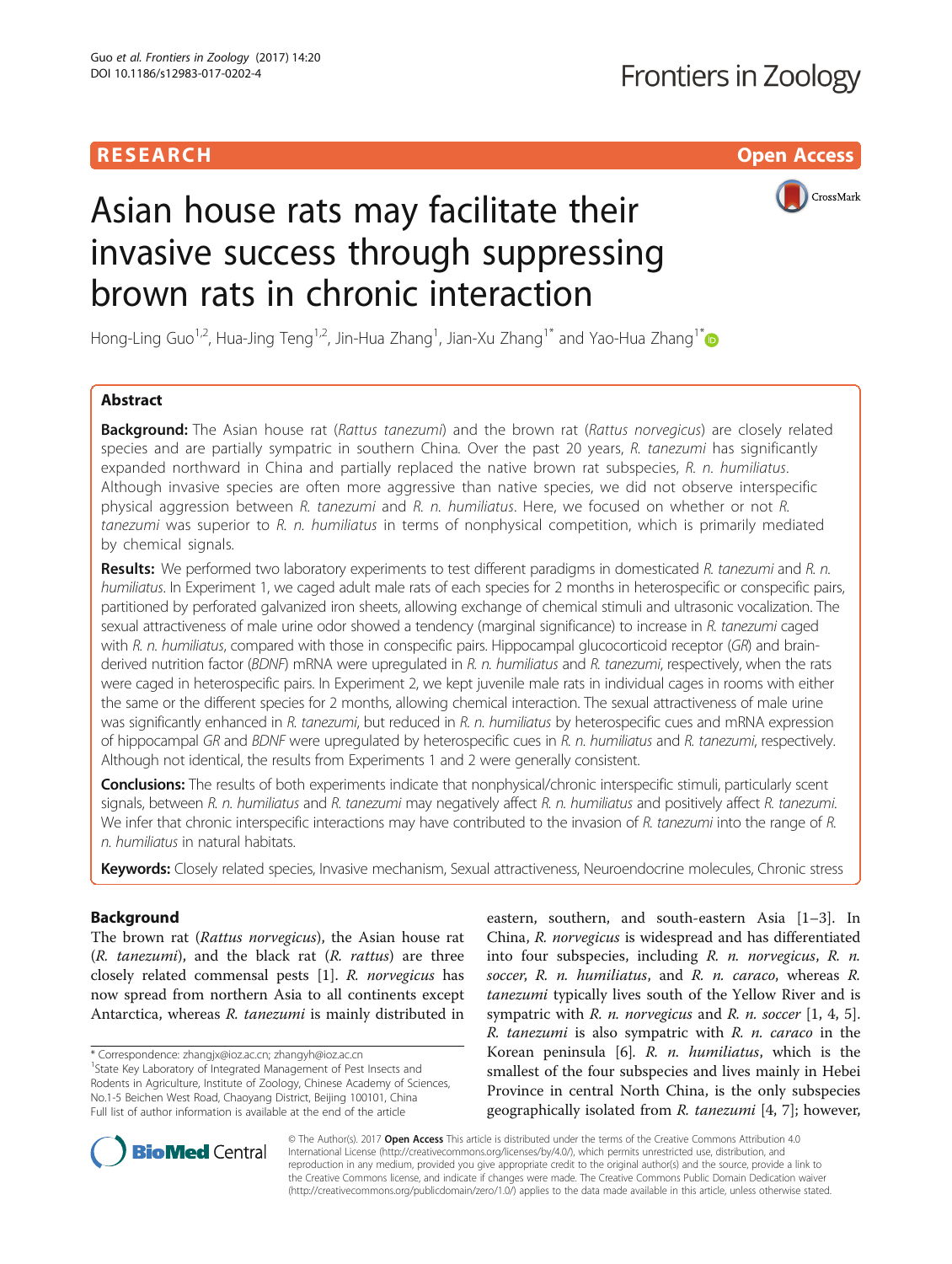# **RESEARCH CHILD CONTROL** CONTROL CONTROL CONTROL CONTROL CONTROL CONTROL CONTROL CONTROL CONTROL CONTROL CONTROL



# Asian house rats may facilitate their invasive success through suppressing brown rats in chronic interaction

Hong-Ling Guo<sup>1,2</sup>, Hua-Jing Teng<sup>1,2</sup>, Jin-Hua Zhang<sup>1</sup>, Jian-Xu Zhang<sup>1\*</sup> and Yao-Hua Zhang<sup>1\*</sup>

# Abstract

Background: The Asian house rat (Rattus tanezumi) and the brown rat (Rattus norvegicus) are closely related species and are partially sympatric in southern China. Over the past 20 years, R. tanezumi has significantly expanded northward in China and partially replaced the native brown rat subspecies, R. n. humiliatus. Although invasive species are often more aggressive than native species, we did not observe interspecific physical aggression between R. tanezumi and R. n. humiliatus. Here, we focused on whether or not R. tanezumi was superior to R. n. humiliatus in terms of nonphysical competition, which is primarily mediated by chemical signals.

Results: We performed two laboratory experiments to test different paradigms in domesticated R. tanezumi and R. n. humiliatus. In Experiment 1, we caged adult male rats of each species for 2 months in heterospecific or conspecific pairs, partitioned by perforated galvanized iron sheets, allowing exchange of chemical stimuli and ultrasonic vocalization. The sexual attractiveness of male urine odor showed a tendency (marginal significance) to increase in R. tanezumi caged with R. n. humiliatus, compared with those in conspecific pairs. Hippocampal glucocorticoid receptor (GR) and brainderived nutrition factor (BDNF) mRNA were upregulated in R. n. humiliatus and R. tanezumi, respectively, when the rats were caged in heterospecific pairs. In Experiment 2, we kept juvenile male rats in individual cages in rooms with either the same or the different species for 2 months, allowing chemical interaction. The sexual attractiveness of male urine was significantly enhanced in R. tanezumi, but reduced in R. n. humiliatus by heterospecific cues and mRNA expression of hippocampal GR and BDNF were upregulated by heterospecific cues in R. n. humiliatus and R. tanezumi, respectively. Although not identical, the results from Experiments 1 and 2 were generally consistent.

Conclusions: The results of both experiments indicate that nonphysical/chronic interspecific stimuli, particularly scent signals, between R. n. humiliatus and R. tanezumi may negatively affect R. n. humiliatus and positively affect R. tanezumi. We infer that chronic interspecific interactions may have contributed to the invasion of R. tanezumi into the range of R. n. humiliatus in natural habitats.

Keywords: Closely related species, Invasive mechanism, Sexual attractiveness, Neuroendocrine molecules, Chronic stress

# Background

The brown rat (Rattus norvegicus), the Asian house rat  $(R. tanezumi)$ , and the black rat  $(R. rattus)$  are three closely related commensal pests [[1](#page-7-0)]. R. norvegicus has now spread from northern Asia to all continents except Antarctica, whereas R. tanezumi is mainly distributed in

\* Correspondence: [zhangjx@ioz.ac.cn;](mailto:zhangjx@ioz.ac.cn) [zhangyh@ioz.ac.cn](mailto:zhangyh@ioz.ac.cn) <sup>1</sup>

<sup>1</sup> State Key Laboratory of Integrated Management of Pest Insects and Rodents in Agriculture, Institute of Zoology, Chinese Academy of Sciences, No.1-5 Beichen West Road, Chaoyang District, Beijing 100101, China Full list of author information is available at the end of the article

eastern, southern, and south-eastern Asia [[1](#page-7-0)–[3](#page-7-0)]. In China, R. norvegicus is widespread and has differentiated into four subspecies, including R. n. norvegicus, R. n. soccer, R. n. humiliatus, and R. n. caraco, whereas R. tanezumi typically lives south of the Yellow River and is sympatric with R. n. norvegicus and R. n. soccer  $[1, 4, 5]$  $[1, 4, 5]$  $[1, 4, 5]$ .  $R.$  tanezumi is also sympatric with  $R.$   $n.$  caraco in the Korean peninsula  $[6]$ . R. n. humiliatus, which is the smallest of the four subspecies and lives mainly in Hebei Province in central North China, is the only subspecies geographically isolated from R. tanezumi [\[4](#page-7-0), [7](#page-7-0)]; however,



© The Author(s). 2017 **Open Access** This article is distributed under the terms of the Creative Commons Attribution 4.0 International License [\(http://creativecommons.org/licenses/by/4.0/](http://creativecommons.org/licenses/by/4.0/)), which permits unrestricted use, distribution, and reproduction in any medium, provided you give appropriate credit to the original author(s) and the source, provide a link to the Creative Commons license, and indicate if changes were made. The Creative Commons Public Domain Dedication waiver [\(http://creativecommons.org/publicdomain/zero/1.0/](http://creativecommons.org/publicdomain/zero/1.0/)) applies to the data made available in this article, unless otherwise stated.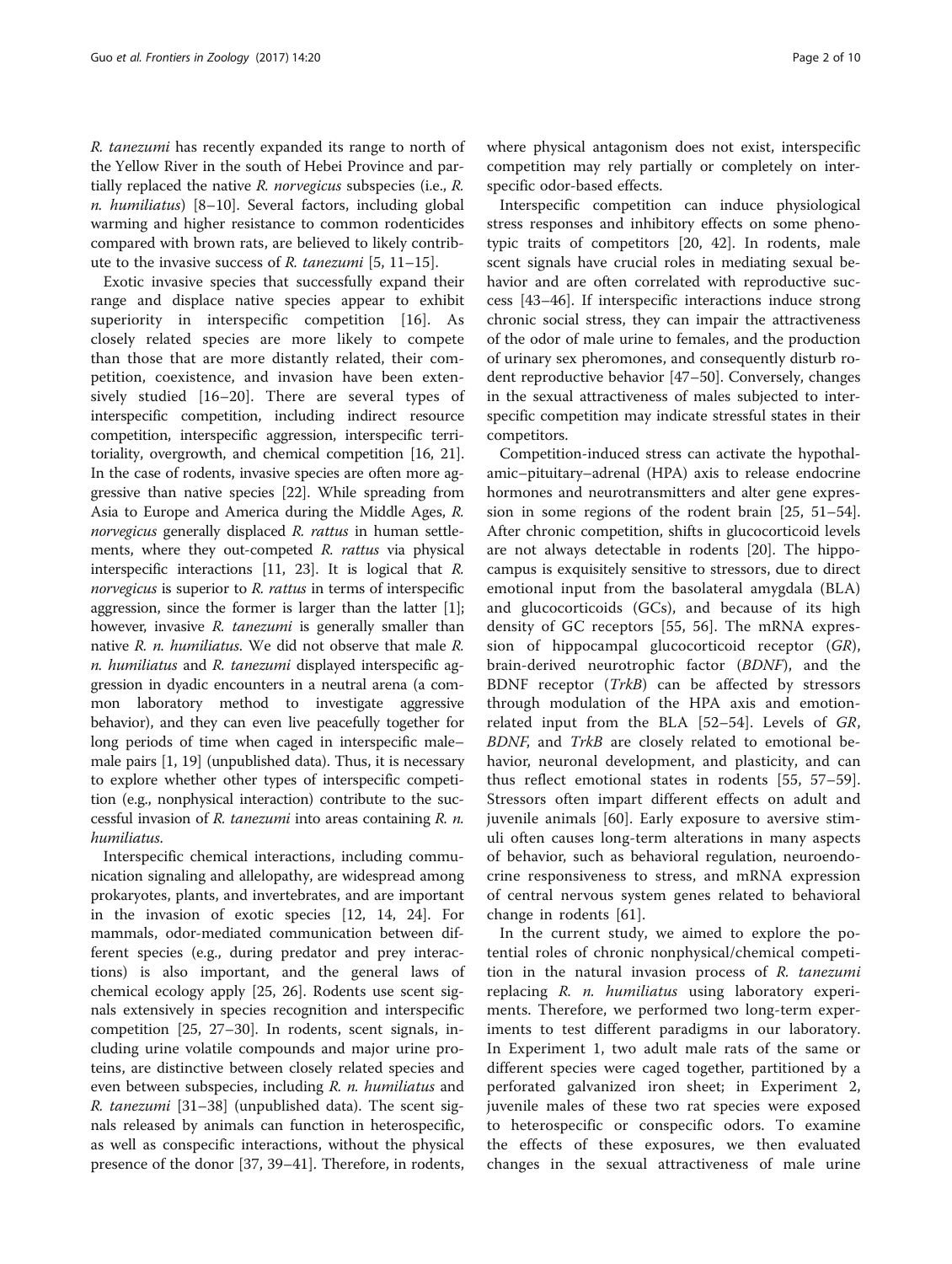R. tanezumi has recently expanded its range to north of the Yellow River in the south of Hebei Province and partially replaced the native  $R$ . norvegicus subspecies (i.e.,  $R$ . n. humiliatus) [\[8](#page-7-0)–[10\]](#page-7-0). Several factors, including global warming and higher resistance to common rodenticides compared with brown rats, are believed to likely contribute to the invasive success of R. tanezumi [[5, 11](#page-7-0)–[15](#page-7-0)].

Exotic invasive species that successfully expand their range and displace native species appear to exhibit superiority in interspecific competition [[16](#page-7-0)]. As closely related species are more likely to compete than those that are more distantly related, their competition, coexistence, and invasion have been extensively studied [\[16](#page-7-0)–[20](#page-8-0)]. There are several types of interspecific competition, including indirect resource competition, interspecific aggression, interspecific territoriality, overgrowth, and chemical competition [[16](#page-7-0), [21](#page-8-0)]. In the case of rodents, invasive species are often more aggressive than native species [\[22\]](#page-8-0). While spreading from Asia to Europe and America during the Middle Ages, R. norvegicus generally displaced R. rattus in human settlements, where they out-competed R. rattus via physical interspecific interactions [[11,](#page-7-0) [23](#page-8-0)]. It is logical that R. norvegicus is superior to R. rattus in terms of interspecific aggression, since the former is larger than the latter [[1](#page-7-0)]; however, invasive R. tanezumi is generally smaller than native R. n. humiliatus. We did not observe that male R. n. humiliatus and R. tanezumi displayed interspecific aggression in dyadic encounters in a neutral arena (a common laboratory method to investigate aggressive behavior), and they can even live peacefully together for long periods of time when caged in interspecific male– male pairs [\[1,](#page-7-0) [19](#page-8-0)] (unpublished data). Thus, it is necessary to explore whether other types of interspecific competition (e.g., nonphysical interaction) contribute to the successful invasion of R. tanezumi into areas containing R. n. humiliatus.

Interspecific chemical interactions, including communication signaling and allelopathy, are widespread among prokaryotes, plants, and invertebrates, and are important in the invasion of exotic species [[12, 14,](#page-7-0) [24](#page-8-0)]. For mammals, odor-mediated communication between different species (e.g., during predator and prey interactions) is also important, and the general laws of chemical ecology apply [[25, 26\]](#page-8-0). Rodents use scent signals extensively in species recognition and interspecific competition [\[25, 27](#page-8-0)–[30](#page-8-0)]. In rodents, scent signals, including urine volatile compounds and major urine proteins, are distinctive between closely related species and even between subspecies, including R. n. humiliatus and R. tanezumi [[31](#page-8-0)–[38\]](#page-8-0) (unpublished data). The scent signals released by animals can function in heterospecific, as well as conspecific interactions, without the physical presence of the donor [[37](#page-8-0), [39](#page-8-0)–[41\]](#page-8-0). Therefore, in rodents,

where physical antagonism does not exist, interspecific competition may rely partially or completely on interspecific odor-based effects.

Interspecific competition can induce physiological stress responses and inhibitory effects on some phenotypic traits of competitors [[20](#page-8-0), [42\]](#page-8-0). In rodents, male scent signals have crucial roles in mediating sexual behavior and are often correlated with reproductive success [[43](#page-8-0)–[46](#page-8-0)]. If interspecific interactions induce strong chronic social stress, they can impair the attractiveness of the odor of male urine to females, and the production of urinary sex pheromones, and consequently disturb rodent reproductive behavior [\[47](#page-8-0)–[50\]](#page-8-0). Conversely, changes in the sexual attractiveness of males subjected to interspecific competition may indicate stressful states in their competitors.

Competition-induced stress can activate the hypothalamic–pituitary–adrenal (HPA) axis to release endocrine hormones and neurotransmitters and alter gene expression in some regions of the rodent brain [[25, 51](#page-8-0)–[54](#page-8-0)]. After chronic competition, shifts in glucocorticoid levels are not always detectable in rodents [\[20](#page-8-0)]. The hippocampus is exquisitely sensitive to stressors, due to direct emotional input from the basolateral amygdala (BLA) and glucocorticoids (GCs), and because of its high density of GC receptors [[55, 56\]](#page-8-0). The mRNA expression of hippocampal glucocorticoid receptor (GR), brain-derived neurotrophic factor (BDNF), and the BDNF receptor (TrkB) can be affected by stressors through modulation of the HPA axis and emotionrelated input from the BLA [[52](#page-8-0)–[54](#page-8-0)]. Levels of GR, BDNF, and TrkB are closely related to emotional behavior, neuronal development, and plasticity, and can thus reflect emotional states in rodents [\[55](#page-8-0), [57](#page-8-0)–[59](#page-8-0)]. Stressors often impart different effects on adult and juvenile animals [[60\]](#page-8-0). Early exposure to aversive stimuli often causes long-term alterations in many aspects of behavior, such as behavioral regulation, neuroendocrine responsiveness to stress, and mRNA expression of central nervous system genes related to behavioral change in rodents [[61\]](#page-8-0).

In the current study, we aimed to explore the potential roles of chronic nonphysical/chemical competition in the natural invasion process of R. tanezumi replacing R. n. humiliatus using laboratory experiments. Therefore, we performed two long-term experiments to test different paradigms in our laboratory. In Experiment 1, two adult male rats of the same or different species were caged together, partitioned by a perforated galvanized iron sheet; in Experiment 2, juvenile males of these two rat species were exposed to heterospecific or conspecific odors. To examine the effects of these exposures, we then evaluated changes in the sexual attractiveness of male urine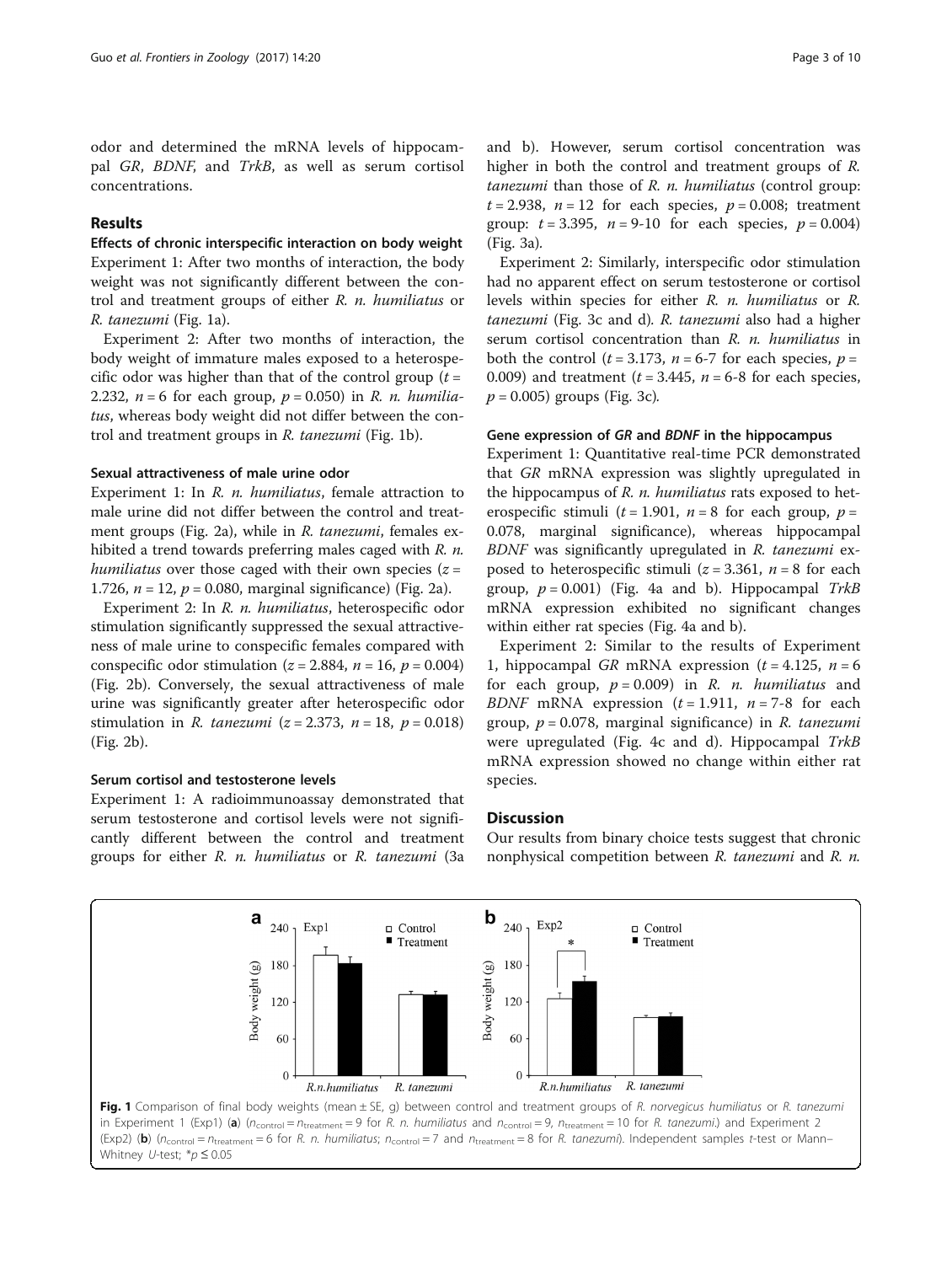odor and determined the mRNA levels of hippocampal GR, BDNF, and TrkB, as well as serum cortisol concentrations.

## Results

Effects of chronic interspecific interaction on body weight Experiment 1: After two months of interaction, the body weight was not significantly different between the control and treatment groups of either R. n. humiliatus or R. tanezumi (Fig. 1a).

Experiment 2: After two months of interaction, the body weight of immature males exposed to a heterospecific odor was higher than that of the control group  $(t =$ 2.232,  $n = 6$  for each group,  $p = 0.050$  in R. n. humiliatus, whereas body weight did not differ between the control and treatment groups in R. tanezumi (Fig. 1b).

## Sexual attractiveness of male urine odor

Experiment 1: In R. *n. humiliatus*, female attraction to male urine did not differ between the control and treatment groups (Fig. [2a](#page-3-0)), while in R. tanezumi, females exhibited a trend towards preferring males caged with R. n. humiliatus over those caged with their own species  $(z =$ 1.726,  $n = 12$ ,  $p = 0.080$ , marginal significance) (Fig. [2a](#page-3-0)).

Experiment 2: In R. n. humiliatus, heterospecific odor stimulation significantly suppressed the sexual attractiveness of male urine to conspecific females compared with conspecific odor stimulation ( $z = 2.884$ ,  $n = 16$ ,  $p = 0.004$ ) (Fig. [2b](#page-3-0)). Conversely, the sexual attractiveness of male urine was significantly greater after heterospecific odor stimulation in *R. tanezumi* ( $z = 2.373$ ,  $n = 18$ ,  $p = 0.018$ ) (Fig. [2b](#page-3-0)).

#### Serum cortisol and testosterone levels

Experiment 1: A radioimmunoassay demonstrated that serum testosterone and cortisol levels were not significantly different between the control and treatment groups for either R. n. humiliatus or R. tanezumi [\(3a](#page-3-0) and [b\)](#page-3-0). However, serum cortisol concentration was higher in both the control and treatment groups of R. tanezumi than those of R. n. humiliatus (control group:  $t = 2.938$ ,  $n = 12$  for each species,  $p = 0.008$ ; treatment group:  $t = 3.395$ ,  $n = 9-10$  for each species,  $p = 0.004$ ) (Fig. [3a\)](#page-3-0).

Experiment 2: Similarly, interspecific odor stimulation had no apparent effect on serum testosterone or cortisol levels within species for either R. n. humiliatus or R. tanezumi (Fig. [3c and d](#page-3-0)). R. tanezumi also had a higher serum cortisol concentration than R. n. humiliatus in both the control ( $t = 3.173$ ,  $n = 6-7$  for each species,  $p =$ 0.009) and treatment  $(t = 3.445, n = 6-8)$  for each species,  $p = 0.005$ ) groups (Fig. [3c](#page-3-0)).

## Gene expression of GR and BDNF in the hippocampus

Experiment 1: Quantitative real-time PCR demonstrated that GR mRNA expression was slightly upregulated in the hippocampus of R. n. humiliatus rats exposed to heterospecific stimuli ( $t = 1.901$ ,  $n = 8$  for each group,  $p =$ 0.078, marginal significance), whereas hippocampal BDNF was significantly upregulated in R. tanezumi exposed to heterospecific stimuli ( $z = 3.361$ ,  $n = 8$  for each group,  $p = 0.001$ ) (Fig. [4a](#page-4-0) and [b\)](#page-4-0). Hippocampal TrkB mRNA expression exhibited no significant changes within either rat species (Fig. [4a and b\)](#page-4-0).

Experiment 2: Similar to the results of Experiment 1, hippocampal GR mRNA expression  $(t = 4.125, n = 6$ for each group,  $p = 0.009$  in R. *n. humiliatus* and BDNF mRNA expression  $(t = 1.911, n = 7-8)$  for each group,  $p = 0.078$ , marginal significance) in R. tanezumi were upregulated (Fig. [4c](#page-4-0) and [d\)](#page-4-0). Hippocampal TrkB mRNA expression showed no change within either rat species.

# **Discussion**

Our results from binary choice tests suggest that chronic nonphysical competition between R. tanezumi and R. n.

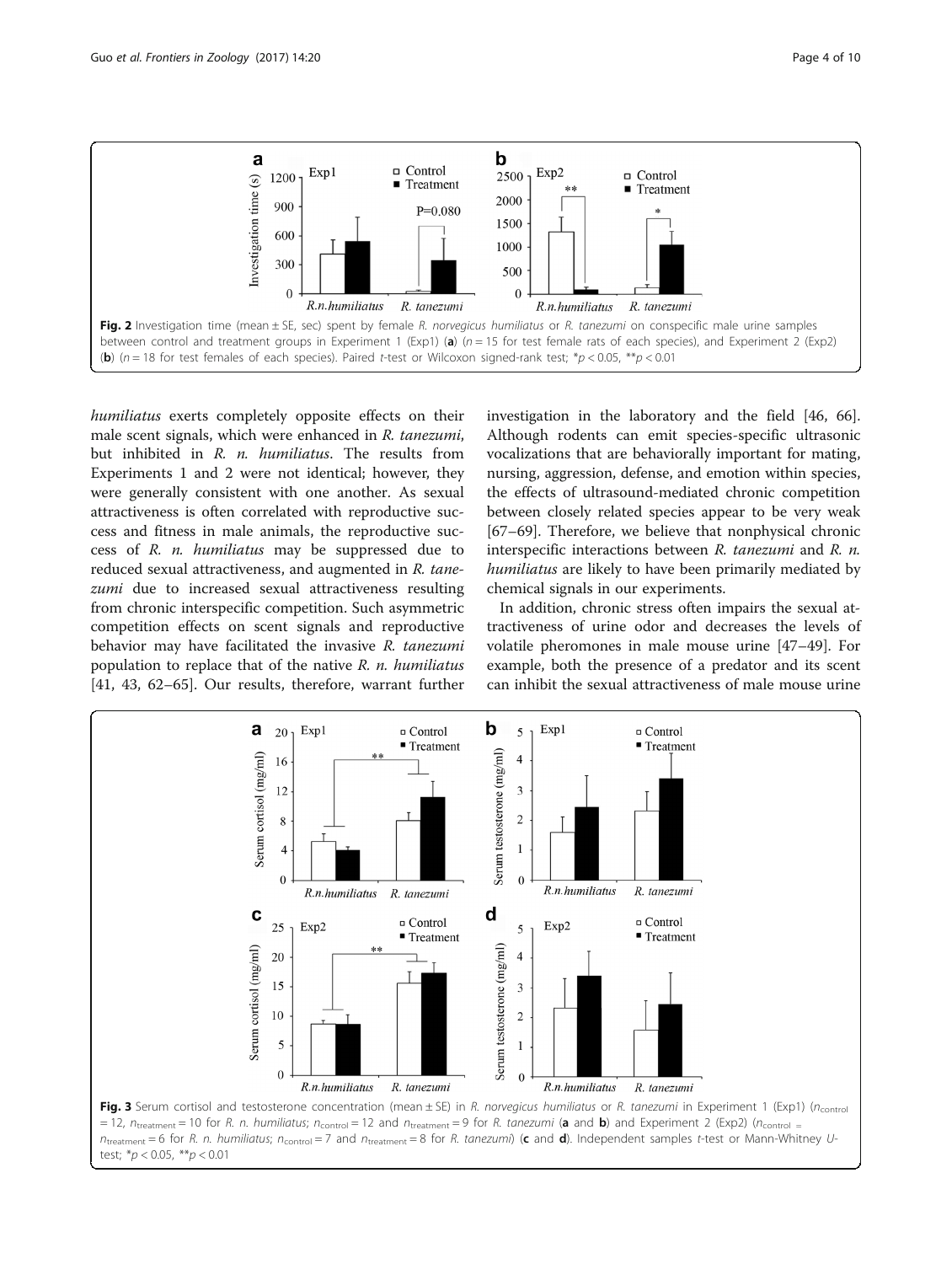<span id="page-3-0"></span>

humiliatus exerts completely opposite effects on their male scent signals, which were enhanced in R. tanezumi, but inhibited in R. n. humiliatus. The results from Experiments 1 and 2 were not identical; however, they were generally consistent with one another. As sexual attractiveness is often correlated with reproductive success and fitness in male animals, the reproductive success of R. n. humiliatus may be suppressed due to reduced sexual attractiveness, and augmented in R. tanezumi due to increased sexual attractiveness resulting from chronic interspecific competition. Such asymmetric competition effects on scent signals and reproductive behavior may have facilitated the invasive R. tanezumi population to replace that of the native  $R$ . *n. humiliatus* [[41, 43](#page-8-0), [62](#page-8-0)–[65](#page-8-0)]. Our results, therefore, warrant further

investigation in the laboratory and the field [[46, 66](#page-8-0)]. Although rodents can emit species-specific ultrasonic vocalizations that are behaviorally important for mating, nursing, aggression, defense, and emotion within species, the effects of ultrasound-mediated chronic competition between closely related species appear to be very weak [[67](#page-8-0)–[69](#page-9-0)]. Therefore, we believe that nonphysical chronic interspecific interactions between R. tanezumi and R. n. humiliatus are likely to have been primarily mediated by chemical signals in our experiments.

In addition, chronic stress often impairs the sexual attractiveness of urine odor and decreases the levels of volatile pheromones in male mouse urine [\[47](#page-8-0)–[49\]](#page-8-0). For example, both the presence of a predator and its scent can inhibit the sexual attractiveness of male mouse urine

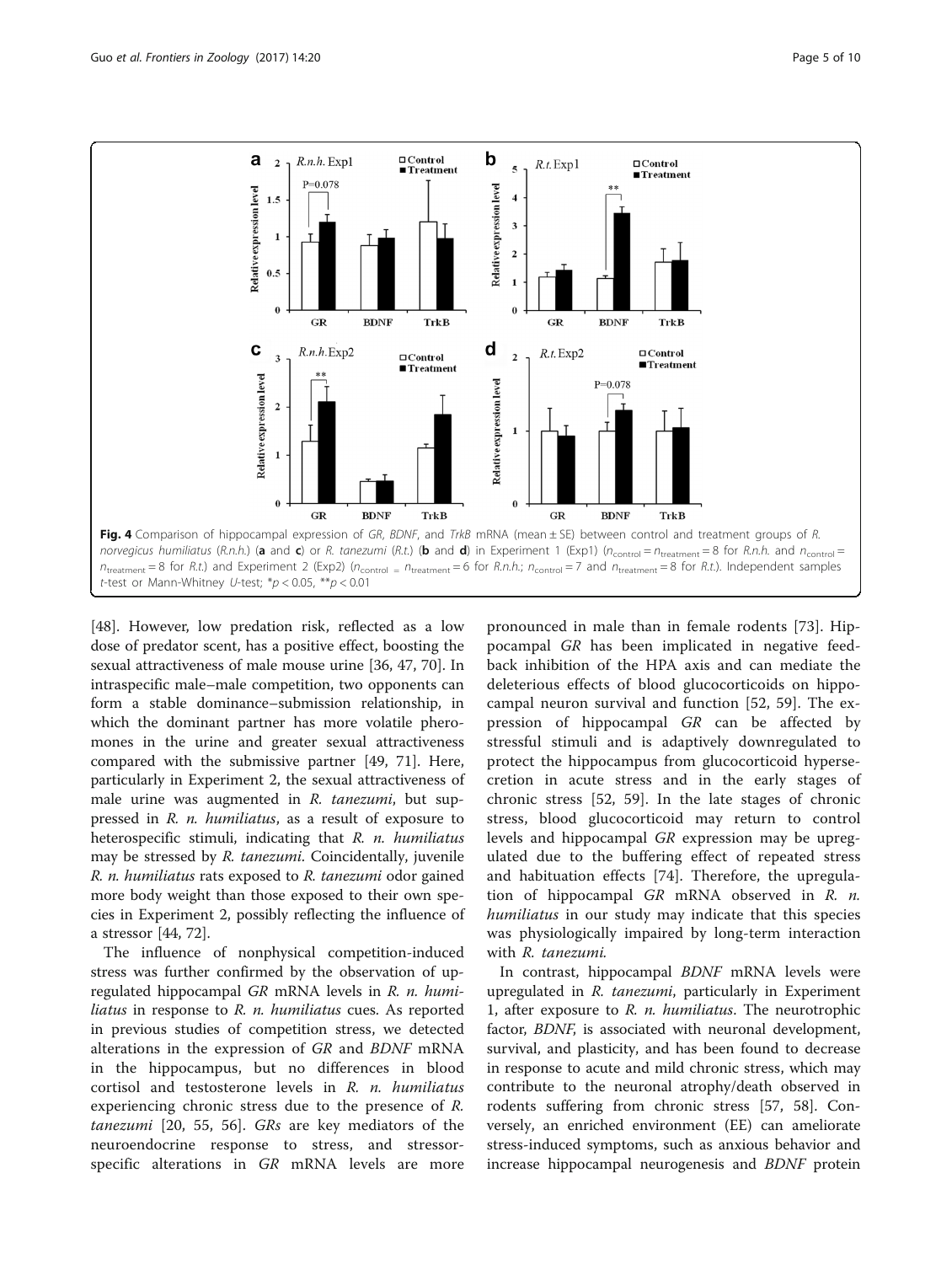<span id="page-4-0"></span>

[[48\]](#page-8-0). However, low predation risk, reflected as a low dose of predator scent, has a positive effect, boosting the sexual attractiveness of male mouse urine [[36, 47,](#page-8-0) [70\]](#page-9-0). In intraspecific male–male competition, two opponents can form a stable dominance–submission relationship, in which the dominant partner has more volatile pheromones in the urine and greater sexual attractiveness compared with the submissive partner [[49,](#page-8-0) [71\]](#page-9-0). Here, particularly in Experiment 2, the sexual attractiveness of male urine was augmented in R. tanezumi, but suppressed in R. n. humiliatus, as a result of exposure to heterospecific stimuli, indicating that R. n. humiliatus may be stressed by R. tanezumi. Coincidentally, juvenile R. n. humiliatus rats exposed to R. tanezumi odor gained more body weight than those exposed to their own species in Experiment 2, possibly reflecting the influence of a stressor [[44](#page-8-0), [72](#page-9-0)].

The influence of nonphysical competition-induced stress was further confirmed by the observation of upregulated hippocampal GR mRNA levels in R. n. humiliatus in response to R. n. humiliatus cues. As reported in previous studies of competition stress, we detected alterations in the expression of GR and BDNF mRNA in the hippocampus, but no differences in blood cortisol and testosterone levels in R. n. humiliatus experiencing chronic stress due to the presence of R. tanezumi [[20, 55](#page-8-0), [56\]](#page-8-0). GRs are key mediators of the neuroendocrine response to stress, and stressorspecific alterations in GR mRNA levels are more

pronounced in male than in female rodents [[73\]](#page-9-0). Hippocampal GR has been implicated in negative feedback inhibition of the HPA axis and can mediate the deleterious effects of blood glucocorticoids on hippocampal neuron survival and function [[52, 59\]](#page-8-0). The expression of hippocampal GR can be affected by stressful stimuli and is adaptively downregulated to protect the hippocampus from glucocorticoid hypersecretion in acute stress and in the early stages of chronic stress [[52](#page-8-0), [59\]](#page-8-0). In the late stages of chronic stress, blood glucocorticoid may return to control levels and hippocampal GR expression may be upregulated due to the buffering effect of repeated stress and habituation effects [[74](#page-9-0)]. Therefore, the upregulation of hippocampal  $GR$  mRNA observed in  $R$ . *n*. humiliatus in our study may indicate that this species was physiologically impaired by long-term interaction with R. tanezumi.

In contrast, hippocampal BDNF mRNA levels were upregulated in R. tanezumi, particularly in Experiment 1, after exposure to  $R$ .  $n$ . humiliatus. The neurotrophic factor, BDNF, is associated with neuronal development, survival, and plasticity, and has been found to decrease in response to acute and mild chronic stress, which may contribute to the neuronal atrophy/death observed in rodents suffering from chronic stress [\[57](#page-8-0), [58](#page-8-0)]. Conversely, an enriched environment (EE) can ameliorate stress-induced symptoms, such as anxious behavior and increase hippocampal neurogenesis and BDNF protein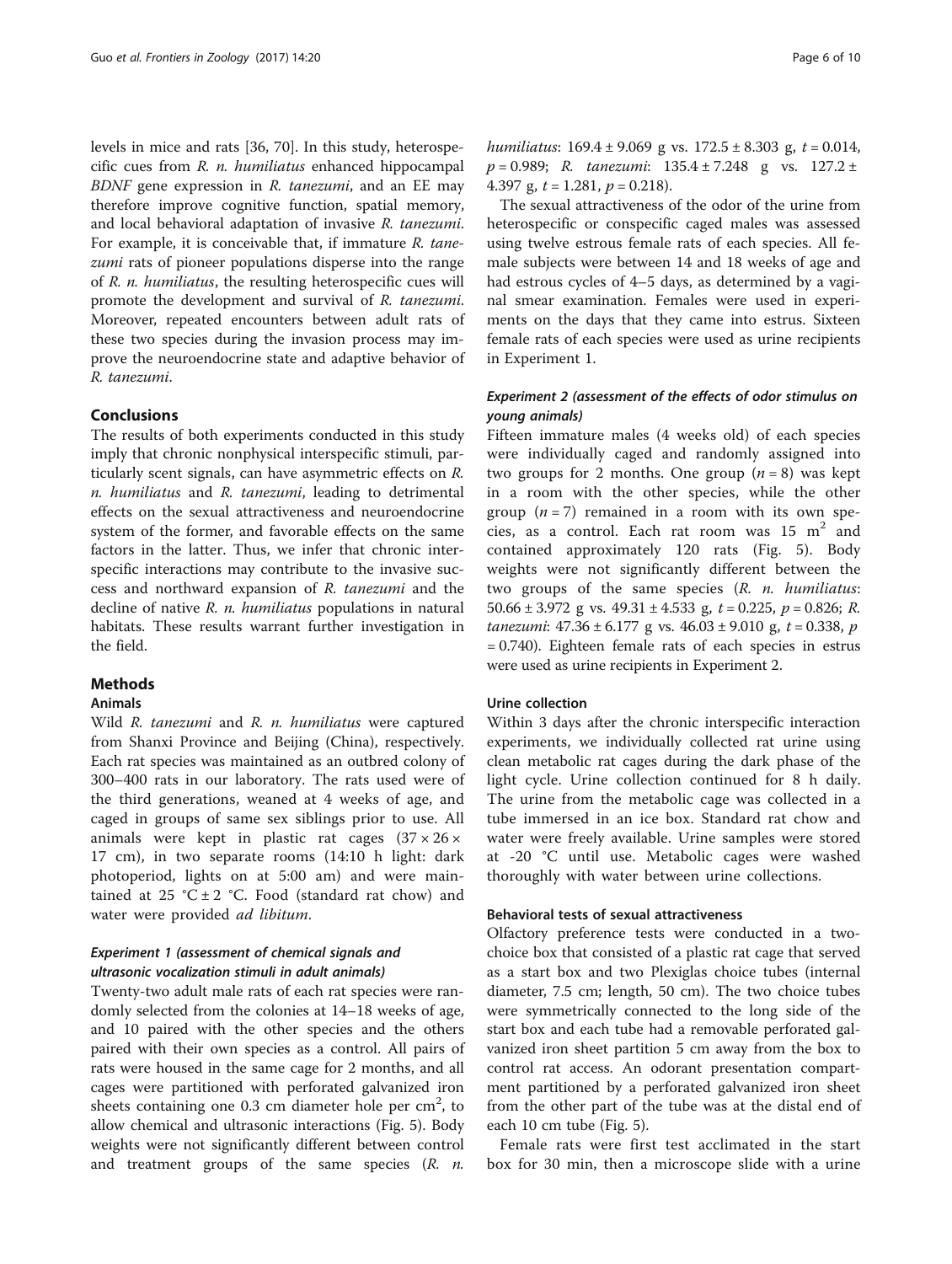levels in mice and rats [\[36](#page-8-0), [70](#page-9-0)]. In this study, heterospecific cues from R. n. humiliatus enhanced hippocampal BDNF gene expression in R. tanezumi, and an EE may therefore improve cognitive function, spatial memory, and local behavioral adaptation of invasive R. tanezumi. For example, it is conceivable that, if immature R. tanezumi rats of pioneer populations disperse into the range of R. n. humiliatus, the resulting heterospecific cues will promote the development and survival of R. tanezumi. Moreover, repeated encounters between adult rats of these two species during the invasion process may improve the neuroendocrine state and adaptive behavior of R. tanezumi.

### Conclusions

The results of both experiments conducted in this study imply that chronic nonphysical interspecific stimuli, particularly scent signals, can have asymmetric effects on R. n. humiliatus and R. tanezumi, leading to detrimental effects on the sexual attractiveness and neuroendocrine system of the former, and favorable effects on the same factors in the latter. Thus, we infer that chronic interspecific interactions may contribute to the invasive success and northward expansion of R. tanezumi and the decline of native R. *n. humiliatus* populations in natural habitats. These results warrant further investigation in the field.

#### **Methods**

#### Animals

Wild R. tanezumi and R. n. humiliatus were captured from Shanxi Province and Beijing (China), respectively. Each rat species was maintained as an outbred colony of 300–400 rats in our laboratory. The rats used were of the third generations, weaned at 4 weeks of age, and caged in groups of same sex siblings prior to use. All animals were kept in plastic rat cages  $(37 \times 26 \times$ 17 cm), in two separate rooms (14:10 h light: dark photoperiod, lights on at 5:00 am) and were maintained at 25 °C  $\pm$  2 °C. Food (standard rat chow) and water were provided ad libitum.

# Experiment 1 (assessment of chemical signals and ultrasonic vocalization stimuli in adult animals)

Twenty-two adult male rats of each rat species were randomly selected from the colonies at 14–18 weeks of age, and 10 paired with the other species and the others paired with their own species as a control. All pairs of rats were housed in the same cage for 2 months, and all cages were partitioned with perforated galvanized iron sheets containing one  $0.3$  cm diameter hole per  $\text{cm}^2$ , to allow chemical and ultrasonic interactions (Fig. [5](#page-6-0)). Body weights were not significantly different between control and treatment groups of the same species  $(R. n.$  humiliatus:  $169.4 \pm 9.069$  g vs.  $172.5 \pm 8.303$  g,  $t = 0.014$ ,  $p = 0.989$ ; R. tanezumi:  $135.4 \pm 7.248$  g vs.  $127.2 \pm$ 4.397 g,  $t = 1.281$ ,  $p = 0.218$ ).

The sexual attractiveness of the odor of the urine from heterospecific or conspecific caged males was assessed using twelve estrous female rats of each species. All female subjects were between 14 and 18 weeks of age and had estrous cycles of 4–5 days, as determined by a vaginal smear examination. Females were used in experiments on the days that they came into estrus. Sixteen female rats of each species were used as urine recipients in Experiment 1.

# Experiment 2 (assessment of the effects of odor stimulus on young animals)

Fifteen immature males (4 weeks old) of each species were individually caged and randomly assigned into two groups for 2 months. One group  $(n = 8)$  was kept in a room with the other species, while the other group ( $n = 7$ ) remained in a room with its own species, as a control. Each rat room was  $15 \text{ m}^2$  and contained approximately 120 rats (Fig. [5](#page-6-0)). Body weights were not significantly different between the two groups of the same species (R. n. humiliatus: 50.66 ± 3.972 g vs.  $49.31 \pm 4.533$  g,  $t = 0.225$ ,  $p = 0.826$ ; R. tanezumi:  $47.36 \pm 6.177$  g vs.  $46.03 \pm 9.010$  g,  $t = 0.338$ , p = 0.740). Eighteen female rats of each species in estrus were used as urine recipients in Experiment 2.

#### Urine collection

Within 3 days after the chronic interspecific interaction experiments, we individually collected rat urine using clean metabolic rat cages during the dark phase of the light cycle. Urine collection continued for 8 h daily. The urine from the metabolic cage was collected in a tube immersed in an ice box. Standard rat chow and water were freely available. Urine samples were stored at -20 °C until use. Metabolic cages were washed thoroughly with water between urine collections.

## Behavioral tests of sexual attractiveness

Olfactory preference tests were conducted in a twochoice box that consisted of a plastic rat cage that served as a start box and two Plexiglas choice tubes (internal diameter, 7.5 cm; length, 50 cm). The two choice tubes were symmetrically connected to the long side of the start box and each tube had a removable perforated galvanized iron sheet partition 5 cm away from the box to control rat access. An odorant presentation compartment partitioned by a perforated galvanized iron sheet from the other part of the tube was at the distal end of each 10 cm tube (Fig. [5\)](#page-6-0).

Female rats were first test acclimated in the start box for 30 min, then a microscope slide with a urine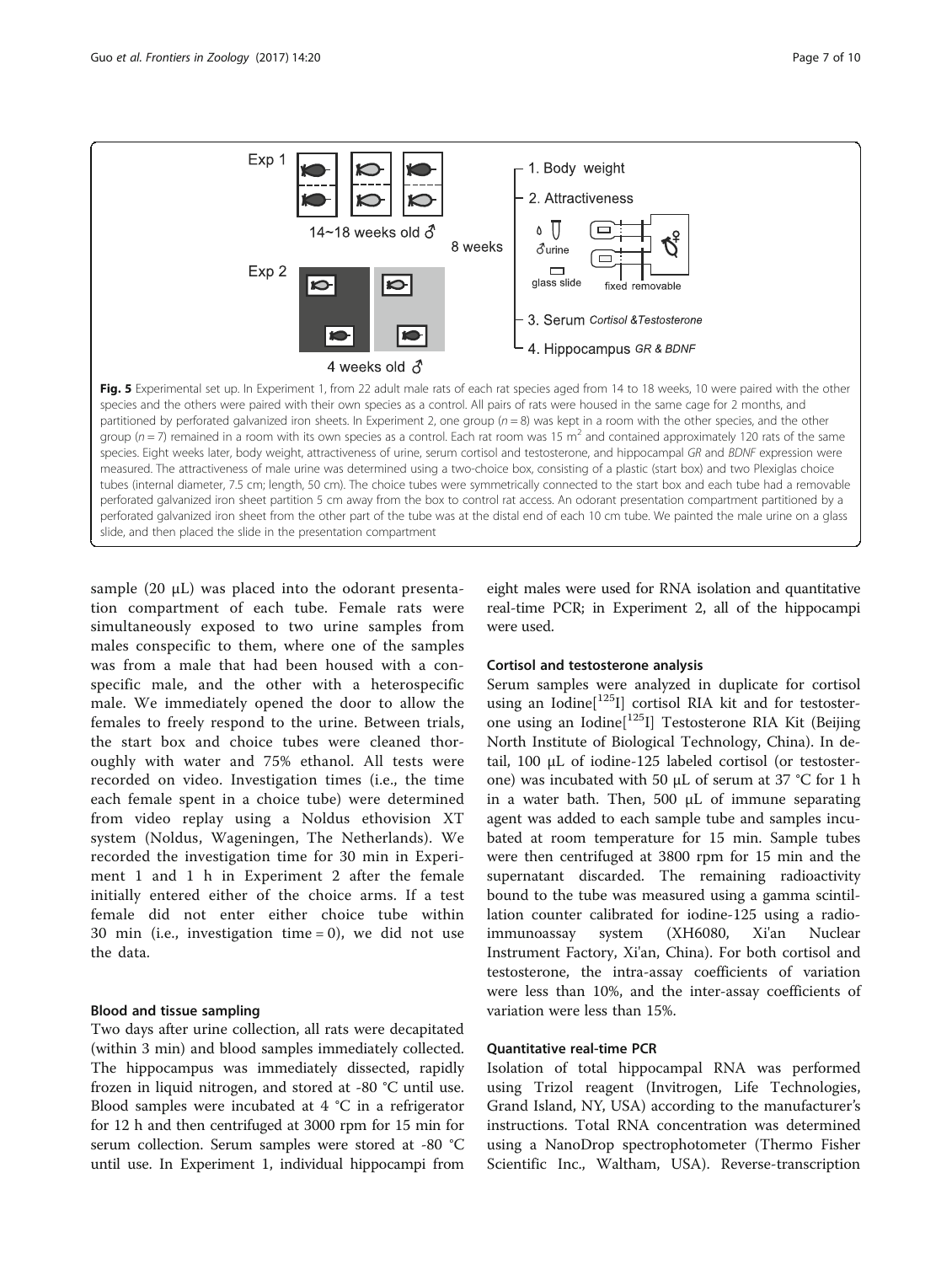<span id="page-6-0"></span>

sample (20 μL) was placed into the odorant presentation compartment of each tube. Female rats were simultaneously exposed to two urine samples from males conspecific to them, where one of the samples was from a male that had been housed with a conspecific male, and the other with a heterospecific male. We immediately opened the door to allow the females to freely respond to the urine. Between trials, the start box and choice tubes were cleaned thoroughly with water and 75% ethanol. All tests were recorded on video. Investigation times (i.e., the time each female spent in a choice tube) were determined from video replay using a Noldus ethovision XT system (Noldus, Wageningen, The Netherlands). We recorded the investigation time for 30 min in Experiment 1 and 1 h in Experiment 2 after the female initially entered either of the choice arms. If a test female did not enter either choice tube within 30 min (i.e., investigation time  $= 0$ ), we did not use the data.

# Blood and tissue sampling

Two days after urine collection, all rats were decapitated (within 3 min) and blood samples immediately collected. The hippocampus was immediately dissected, rapidly frozen in liquid nitrogen, and stored at -80 °C until use. Blood samples were incubated at 4 °C in a refrigerator for 12 h and then centrifuged at 3000 rpm for 15 min for serum collection. Serum samples were stored at -80 °C until use. In Experiment 1, individual hippocampi from

eight males were used for RNA isolation and quantitative real-time PCR; in Experiment 2, all of the hippocampi were used.

#### Cortisol and testosterone analysis

Serum samples were analyzed in duplicate for cortisol using an Iodine<sup>[125</sup>I] cortisol RIA kit and for testosterone using an Iodine $[$ <sup>125</sup>I] Testosterone RIA Kit (Beijing North Institute of Biological Technology, China). In detail, 100 μL of iodine-125 labeled cortisol (or testosterone) was incubated with 50 μL of serum at 37 °C for 1 h in a water bath. Then, 500 μL of immune separating agent was added to each sample tube and samples incubated at room temperature for 15 min. Sample tubes were then centrifuged at 3800 rpm for 15 min and the supernatant discarded. The remaining radioactivity bound to the tube was measured using a gamma scintillation counter calibrated for iodine-125 using a radioimmunoassay system (XH6080, Xi'an Nuclear Instrument Factory, Xi'an, China). For both cortisol and testosterone, the intra-assay coefficients of variation were less than 10%, and the inter-assay coefficients of variation were less than 15%.

#### Quantitative real-time PCR

Isolation of total hippocampal RNA was performed using Trizol reagent (Invitrogen, Life Technologies, Grand Island, NY, USA) according to the manufacturer's instructions. Total RNA concentration was determined using a NanoDrop spectrophotometer (Thermo Fisher Scientific Inc., Waltham, USA). Reverse-transcription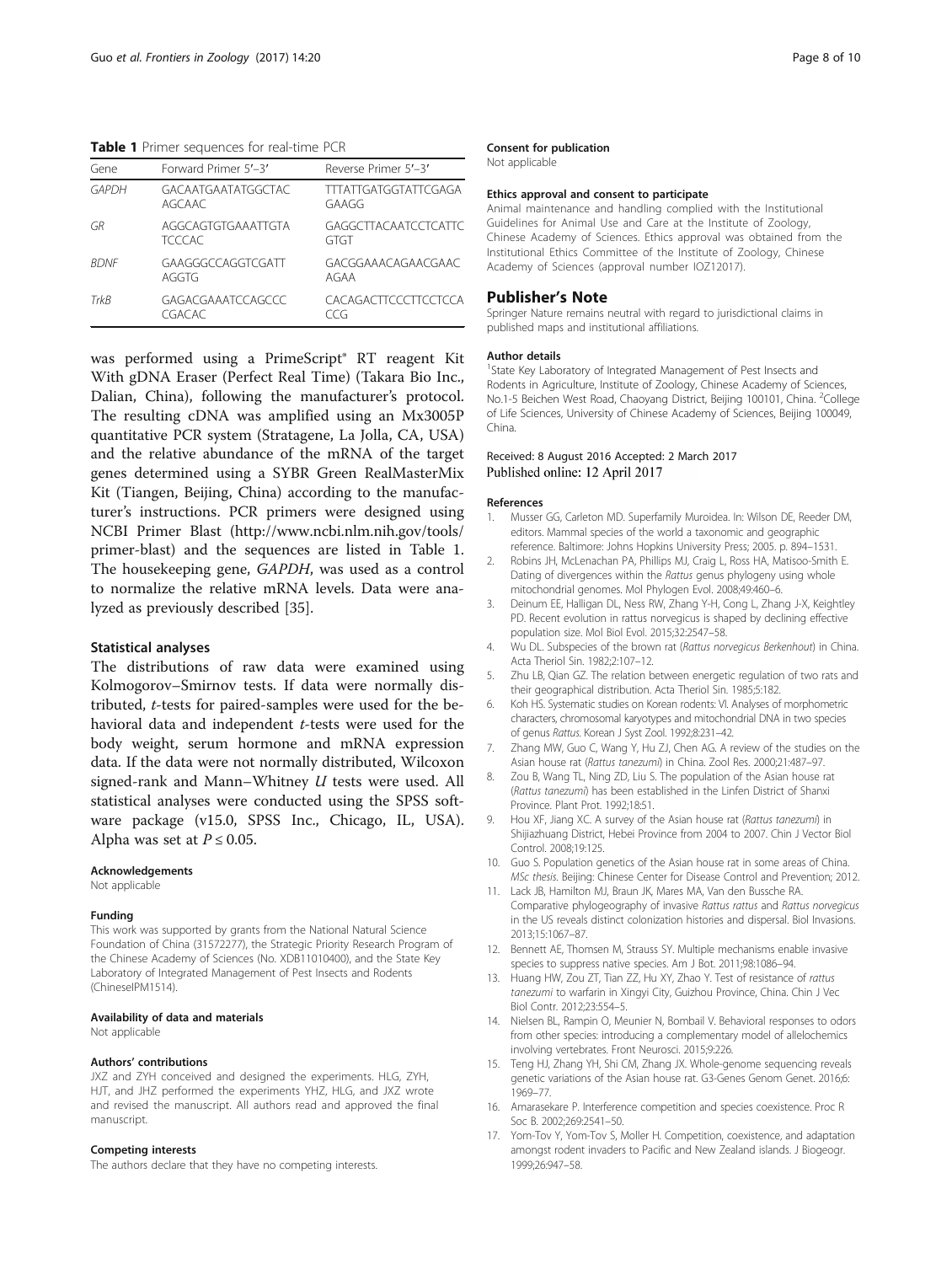<span id="page-7-0"></span>Table 1 Primer sequences for real-time PCR

| Gene        | Forward Primer 5'-3'                | Reverse Primer 5'-3'                 |
|-------------|-------------------------------------|--------------------------------------|
| GAPDH       | GACAATGAATATGGCTAC<br>AGCAAC        | <b>TITATTGATGGTATTCGAGA</b><br>GAAGG |
| GR          | AGGCAGTGTGAAATTGTA<br><b>TCCCAC</b> | GAGGCTTACAATCCTCATTC<br>GTGT         |
| <b>BDNF</b> | GAAGGGCCAGGTCGATT<br>AGGTG          | GACGGAAACAGAACGAAC<br>AGAA           |
| TrkR        | GAGACGAAATCCAGCCC<br>CGACAC         | CACAGACTTCCCTTCCTCCA<br>TCG.         |

was performed using a PrimeScript® RT reagent Kit With gDNA Eraser (Perfect Real Time) (Takara Bio Inc., Dalian, China), following the manufacturer's protocol. The resulting cDNA was amplified using an Mx3005P quantitative PCR system (Stratagene, La Jolla, CA, USA) and the relative abundance of the mRNA of the target genes determined using a SYBR Green RealMasterMix Kit (Tiangen, Beijing, China) according to the manufacturer's instructions. PCR primers were designed using NCBI Primer Blast [\(http://www.ncbi.nlm.nih.gov/tools/](http://www.ncbi.nlm.nih.gov/tools/primer-blast) [primer-blast\)](http://www.ncbi.nlm.nih.gov/tools/primer-blast) and the sequences are listed in Table 1. The housekeeping gene, GAPDH, was used as a control to normalize the relative mRNA levels. Data were analyzed as previously described [\[35\]](#page-8-0).

#### Statistical analyses

The distributions of raw data were examined using Kolmogorov–Smirnov tests. If data were normally distributed, t-tests for paired-samples were used for the behavioral data and independent *t*-tests were used for the body weight, serum hormone and mRNA expression data. If the data were not normally distributed, Wilcoxon signed-rank and Mann–Whitney U tests were used. All statistical analyses were conducted using the SPSS software package (v15.0, SPSS Inc., Chicago, IL, USA). Alpha was set at  $P \le 0.05$ .

#### Acknowledgements

Not applicable

#### Funding

This work was supported by grants from the National Natural Science Foundation of China (31572277), the Strategic Priority Research Program of the Chinese Academy of Sciences (No. XDB11010400), and the State Key Laboratory of Integrated Management of Pest Insects and Rodents (ChineseIPM1514).

#### Availability of data and materials

Not applicable

#### Authors' contributions

JXZ and ZYH conceived and designed the experiments. HLG, ZYH, HJT, and JHZ performed the experiments YHZ, HLG, and JXZ wrote and revised the manuscript. All authors read and approved the final manuscript.

#### Competing interests

The authors declare that they have no competing interests.

#### Consent for publication

Not applicable

#### Ethics approval and consent to participate

Animal maintenance and handling complied with the Institutional Guidelines for Animal Use and Care at the Institute of Zoology, Chinese Academy of Sciences. Ethics approval was obtained from the Institutional Ethics Committee of the Institute of Zoology, Chinese Academy of Sciences (approval number IOZ12017).

#### Publisher's Note

Springer Nature remains neutral with regard to jurisdictional claims in published maps and institutional affiliations.

#### Author details

<sup>1</sup>State Key Laboratory of Integrated Management of Pest Insects and Rodents in Agriculture, Institute of Zoology, Chinese Academy of Sciences, No.1-5 Beichen West Road, Chaoyang District, Beijing 100101, China. <sup>2</sup>College of Life Sciences, University of Chinese Academy of Sciences, Beijing 100049, China.

#### Received: 8 August 2016 Accepted: 2 March 2017 Published online: 12 April 2017

#### References

- 1. Musser GG, Carleton MD. Superfamily Muroidea. In: Wilson DE, Reeder DM, editors. Mammal species of the world a taxonomic and geographic reference. Baltimore: Johns Hopkins University Press; 2005. p. 894–1531.
- 2. Robins JH, McLenachan PA, Phillips MJ, Craig L, Ross HA, Matisoo-Smith E. Dating of divergences within the Rattus genus phylogeny using whole mitochondrial genomes. Mol Phylogen Evol. 2008;49:460–6.
- 3. Deinum EE, Halligan DL, Ness RW, Zhang Y-H, Cong L, Zhang J-X, Keightley PD. Recent evolution in rattus norvegicus is shaped by declining effective population size. Mol Biol Evol. 2015;32:2547–58.
- 4. Wu DL. Subspecies of the brown rat (Rattus norvegicus Berkenhout) in China. Acta Theriol Sin. 1982;2:107–12.
- 5. Zhu LB, Qian GZ. The relation between energetic regulation of two rats and their geographical distribution. Acta Theriol Sin. 1985;5:182.
- 6. Koh HS. Systematic studies on Korean rodents: VI. Analyses of morphometric characters, chromosomal karyotypes and mitochondrial DNA in two species of genus Rattus. Korean J Syst Zool. 1992;8:231–42.
- 7. Zhang MW, Guo C, Wang Y, Hu ZJ, Chen AG. A review of the studies on the Asian house rat (Rattus tanezumi) in China. Zool Res. 2000;21:487–97.
- 8. Zou B, Wang TL, Ning ZD, Liu S. The population of the Asian house rat (Rattus tanezumi) has been established in the Linfen District of Shanxi Province. Plant Prot. 1992;18:51.
- 9. Hou XF, Jiang XC. A survey of the Asian house rat (Rattus tanezumi) in Shijiazhuang District, Hebei Province from 2004 to 2007. Chin J Vector Biol Control. 2008;19:125.
- 10. Guo S. Population genetics of the Asian house rat in some areas of China. MSc thesis. Beijing: Chinese Center for Disease Control and Prevention; 2012.
- 11. Lack JB, Hamilton MJ, Braun JK, Mares MA, Van den Bussche RA. Comparative phylogeography of invasive Rattus rattus and Rattus norvegicus in the US reveals distinct colonization histories and dispersal. Biol Invasions. 2013;15:1067–87.
- 12. Bennett AE, Thomsen M, Strauss SY. Multiple mechanisms enable invasive species to suppress native species. Am J Bot. 2011;98:1086–94.
- 13. Huang HW, Zou ZT, Tian ZZ, Hu XY, Zhao Y. Test of resistance of rattus tanezumi to warfarin in Xingyi City, Guizhou Province, China. Chin J Vec Biol Contr. 2012;23:554–5.
- 14. Nielsen BL, Rampin O, Meunier N, Bombail V. Behavioral responses to odors from other species: introducing a complementary model of allelochemics involving vertebrates. Front Neurosci. 2015;9:226.
- 15. Teng HJ, Zhang YH, Shi CM, Zhang JX. Whole-genome sequencing reveals genetic variations of the Asian house rat. G3-Genes Genom Genet. 2016;6: 1969–77.
- 16. Amarasekare P. Interference competition and species coexistence. Proc R Soc B. 2002;269:2541–50.
- 17. Yom-Tov Y, Yom-Tov S, Moller H. Competition, coexistence, and adaptation amongst rodent invaders to Pacific and New Zealand islands. J Biogeogr. 1999;26:947–58.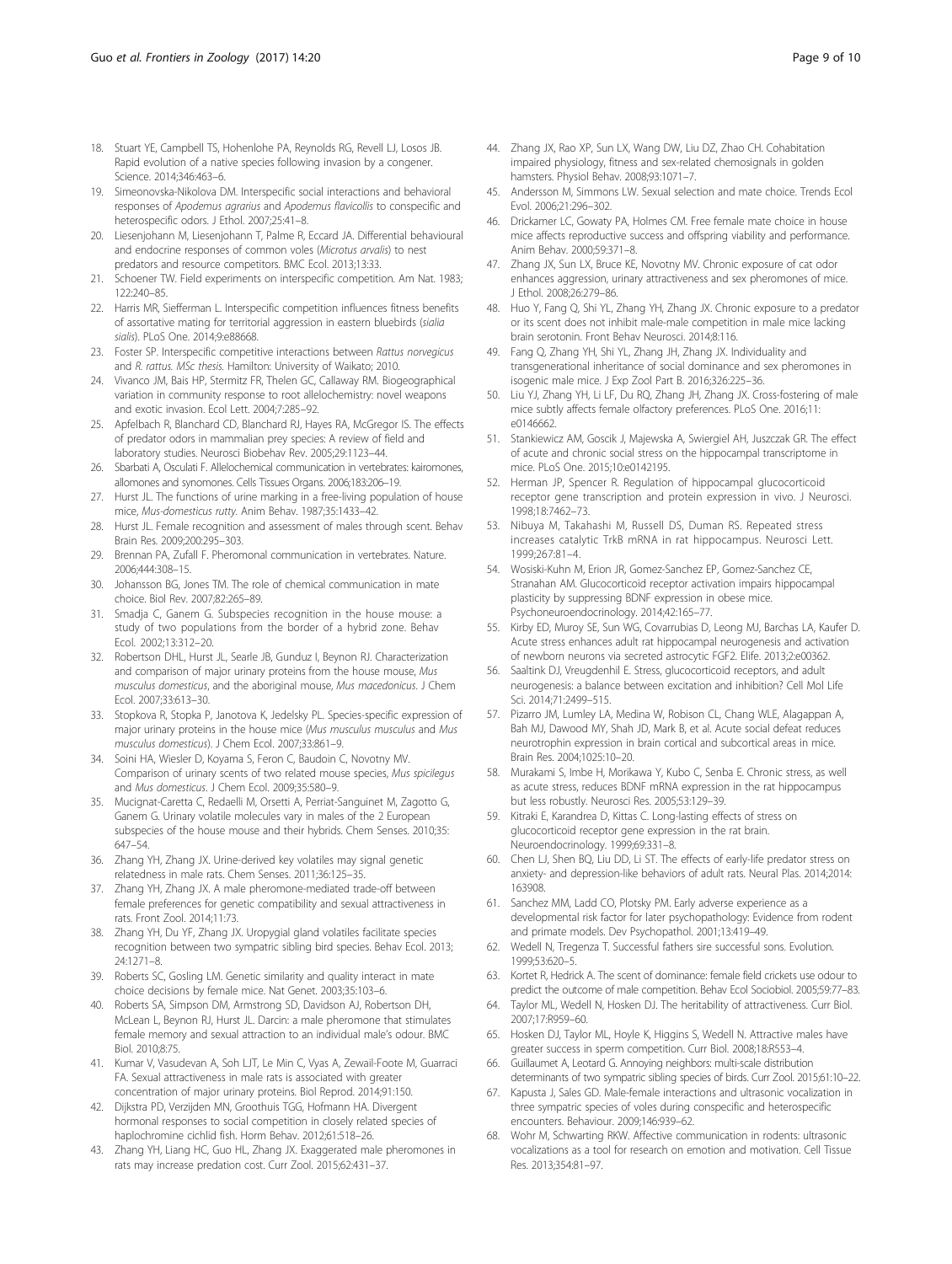- <span id="page-8-0"></span>18. Stuart YE, Campbell TS, Hohenlohe PA, Reynolds RG, Revell LJ, Losos JB. Rapid evolution of a native species following invasion by a congener. Science. 2014;346:463–6.
- 19. Simeonovska-Nikolova DM. Interspecific social interactions and behavioral responses of Apodemus agrarius and Apodemus flavicollis to conspecific and heterospecific odors. J Ethol. 2007;25:41–8.
- 20. Liesenjohann M, Liesenjohann T, Palme R, Eccard JA. Differential behavioural and endocrine responses of common voles (Microtus arvalis) to nest predators and resource competitors. BMC Ecol. 2013;13:33.
- 21. Schoener TW. Field experiments on interspecific competition. Am Nat. 1983; 122:240–85.
- 22. Harris MR, Siefferman L. Interspecific competition influences fitness benefits of assortative mating for territorial aggression in eastern bluebirds (siglig sialis). PLoS One. 2014;9:e88668.
- 23. Foster SP. Interspecific competitive interactions between Rattus norvegicus and R. rattus. MSc thesis. Hamilton: University of Waikato; 2010.
- 24. Vivanco JM, Bais HP, Stermitz FR, Thelen GC, Callaway RM. Biogeographical variation in community response to root allelochemistry: novel weapons and exotic invasion. Ecol Lett. 2004;7:285–92.
- 25. Apfelbach R, Blanchard CD, Blanchard RJ, Hayes RA, McGregor IS. The effects of predator odors in mammalian prey species: A review of field and laboratory studies. Neurosci Biobehav Rev. 2005;29:1123–44.
- 26. Sbarbati A, Osculati F. Allelochemical communication in vertebrates: kairomones, allomones and synomones. Cells Tissues Organs. 2006;183:206–19.
- 27. Hurst JL. The functions of urine marking in a free-living population of house mice, Mus-domesticus rutty. Anim Behav. 1987;35:1433–42.
- 28. Hurst JL. Female recognition and assessment of males through scent. Behave Brain Res. 2009;200:295–303.
- 29. Brennan PA, Zufall F. Pheromonal communication in vertebrates. Nature. 2006;444:308–15.
- 30. Johansson BG, Jones TM. The role of chemical communication in mate choice. Biol Rev. 2007;82:265–89.
- 31. Smadja C, Ganem G. Subspecies recognition in the house mouse: a study of two populations from the border of a hybrid zone. Behav Ecol. 2002;13:312–20.
- 32. Robertson DHL, Hurst JL, Searle JB, Gunduz I, Beynon RJ. Characterization and comparison of major urinary proteins from the house mouse, Mus musculus domesticus, and the aboriginal mouse, Mus macedonicus. J Chem Ecol. 2007;33:613–30.
- 33. Stopkova R, Stopka P, Janotova K, Jedelsky PL. Species-specific expression of major urinary proteins in the house mice (Mus musculus musculus and Mus musculus domesticus). J Chem Ecol. 2007;33:861–9.
- 34. Soini HA, Wiesler D, Koyama S, Feron C, Baudoin C, Novotny MV. Comparison of urinary scents of two related mouse species, Mus spicilegus and Mus domesticus. J Chem Ecol. 2009;35:580–9.
- 35. Mucignat-Caretta C, Redaelli M, Orsetti A, Perriat-Sanguinet M, Zagotto G, Ganem G. Urinary volatile molecules vary in males of the 2 European subspecies of the house mouse and their hybrids. Chem Senses. 2010;35: 647–54.
- 36. Zhang YH, Zhang JX. Urine-derived key volatiles may signal genetic relatedness in male rats. Chem Senses. 2011;36:125–35.
- 37. Zhang YH, Zhang JX. A male pheromone-mediated trade-off between female preferences for genetic compatibility and sexual attractiveness in rats. Front Zool. 2014;11:73.
- 38. Zhang YH, Du YF, Zhang JX. Uropygial gland volatiles facilitate species recognition between two sympatric sibling bird species. Behav Ecol. 2013; 24:1271–8.
- 39. Roberts SC, Gosling LM. Genetic similarity and quality interact in mate choice decisions by female mice. Nat Genet. 2003;35:103–6.
- 40. Roberts SA, Simpson DM, Armstrong SD, Davidson AJ, Robertson DH, McLean L, Beynon RJ, Hurst JL. Darcin: a male pheromone that stimulates female memory and sexual attraction to an individual male's odour. BMC Biol. 2010;8:75.
- 41. Kumar V, Vasudevan A, Soh LJT, Le Min C, Vyas A, Zewail-Foote M, Guarraci FA. Sexual attractiveness in male rats is associated with greater concentration of major urinary proteins. Biol Reprod. 2014;91:150.
- 42. Dijkstra PD, Verzijden MN, Groothuis TGG, Hofmann HA. Divergent hormonal responses to social competition in closely related species of haplochromine cichlid fish. Horm Behav. 2012;61:518–26.
- 43. Zhang YH, Liang HC, Guo HL, Zhang JX. Exaggerated male pheromones in rats may increase predation cost. Curr Zool. 2015;62:431–37.
- 44. Zhang JX, Rao XP, Sun LX, Wang DW, Liu DZ, Zhao CH. Cohabitation impaired physiology, fitness and sex-related chemosignals in golden hamsters. Physiol Behav. 2008;93:1071–7.
- 45. Andersson M, Simmons LW. Sexual selection and mate choice. Trends Ecol Evol. 2006;21:296–302.
- 46. Drickamer LC, Gowaty PA, Holmes CM. Free female mate choice in house mice affects reproductive success and offspring viability and performance. Anim Behav. 2000;59:371–8.
- 47. Zhang JX, Sun LX, Bruce KE, Novotny MV. Chronic exposure of cat odor enhances aggression, urinary attractiveness and sex pheromones of mice. J Ethol. 2008;26:279–86.
- 48. Huo Y, Fang Q, Shi YL, Zhang YH, Zhang JX. Chronic exposure to a predator or its scent does not inhibit male-male competition in male mice lacking brain serotonin. Front Behav Neurosci. 2014;8:116.
- 49. Fang Q, Zhang YH, Shi YL, Zhang JH, Zhang JX. Individuality and transgenerational inheritance of social dominance and sex pheromones in isogenic male mice. J Exp Zool Part B. 2016;326:225–36.
- 50. Liu YJ, Zhang YH, Li LF, Du RQ, Zhang JH, Zhang JX. Cross-fostering of male mice subtly affects female olfactory preferences. PLoS One. 2016;11: e0146662
- 51. Stankiewicz AM, Goscik J, Majewska A, Swiergiel AH, Juszczak GR. The effect of acute and chronic social stress on the hippocampal transcriptome in mice. PLoS One. 2015;10:e0142195.
- 52. Herman JP, Spencer R. Regulation of hippocampal glucocorticoid receptor gene transcription and protein expression in vivo. J Neurosci. 1998;18:7462–73.
- 53. Nibuya M, Takahashi M, Russell DS, Duman RS. Repeated stress increases catalytic TrkB mRNA in rat hippocampus. Neurosci Lett. 1999;267:81–4.
- 54. Wosiski-Kuhn M, Erion JR, Gomez-Sanchez EP, Gomez-Sanchez CE, Stranahan AM. Glucocorticoid receptor activation impairs hippocampal plasticity by suppressing BDNF expression in obese mice. Psychoneuroendocrinology. 2014;42:165–77.
- 55. Kirby ED, Muroy SE, Sun WG, Covarrubias D, Leong MJ, Barchas LA, Kaufer D. Acute stress enhances adult rat hippocampal neurogenesis and activation of newborn neurons via secreted astrocytic FGF2. Elife. 2013;2:e00362.
- 56. Saaltink DJ, Vreugdenhil E. Stress, glucocorticoid receptors, and adult neurogenesis: a balance between excitation and inhibition? Cell Mol Life Sci. 2014;71:2499–515.
- 57. Pizarro JM, Lumley LA, Medina W, Robison CL, Chang WLE, Alagappan A, Bah MJ, Dawood MY, Shah JD, Mark B, et al. Acute social defeat reduces neurotrophin expression in brain cortical and subcortical areas in mice. Brain Res. 2004;1025:10–20.
- 58. Murakami S, Imbe H, Morikawa Y, Kubo C, Senba E. Chronic stress, as well as acute stress, reduces BDNF mRNA expression in the rat hippocampus but less robustly. Neurosci Res. 2005;53:129–39.
- 59. Kitraki E, Karandrea D, Kittas C. Long-lasting effects of stress on glucocorticoid receptor gene expression in the rat brain. Neuroendocrinology. 1999;69:331–8.
- 60. Chen LJ, Shen BQ, Liu DD, Li ST. The effects of early-life predator stress on anxiety- and depression-like behaviors of adult rats. Neural Plas. 2014;2014: 163908.
- 61. Sanchez MM, Ladd CO, Plotsky PM. Early adverse experience as a developmental risk factor for later psychopathology: Evidence from rodent and primate models. Dev Psychopathol. 2001;13:419–49.
- 62. Wedell N, Tregenza T. Successful fathers sire successful sons. Evolution. 1999;53:620–5.
- 63. Kortet R, Hedrick A. The scent of dominance: female field crickets use odour to predict the outcome of male competition. Behav Ecol Sociobiol. 2005;59:77–83.
- 64. Taylor ML, Wedell N, Hosken DJ. The heritability of attractiveness. Curr Biol. 2007;17:R959–60.
- 65. Hosken DJ, Taylor ML, Hoyle K, Higgins S, Wedell N. Attractive males have greater success in sperm competition. Curr Biol. 2008;18:R553–4.
- 66. Guillaumet A, Leotard G. Annoying neighbors: multi-scale distribution determinants of two sympatric sibling species of birds. Curr Zool. 2015;61:10–22.
- 67. Kapusta J, Sales GD. Male-female interactions and ultrasonic vocalization in three sympatric species of voles during conspecific and heterospecific encounters. Behaviour. 2009;146:939–62.
- 68. Wohr M, Schwarting RKW. Affective communication in rodents: ultrasonic vocalizations as a tool for research on emotion and motivation. Cell Tissue Res. 2013;354:81–97.